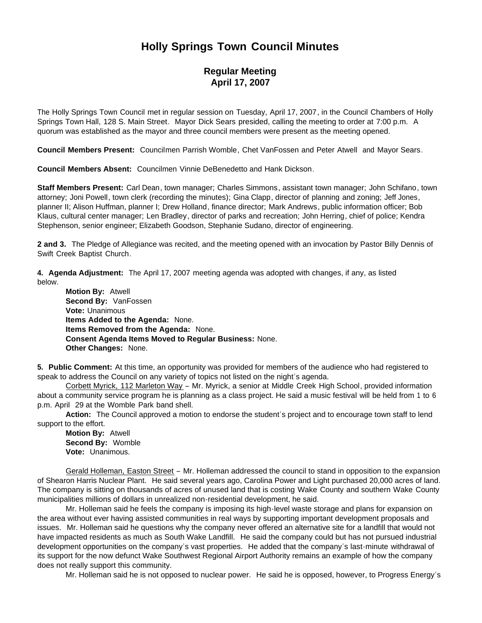## **Holly Springs Town Council Minutes**

## **Regular Meeting April 17, 2007**

The Holly Springs Town Council met in regular session on Tuesday, April 17, 2007, in the Council Chambers of Holly Springs Town Hall, 128 S. Main Street. Mayor Dick Sears presided, calling the meeting to order at 7:00 p.m. A quorum was established as the mayor and three council members were present as the meeting opened.

**Council Members Present:** Councilmen Parrish Womble, Chet VanFossen and Peter Atwell and Mayor Sears.

**Council Members Absent:** Councilmen Vinnie DeBenedetto and Hank Dickson.

**Staff Members Present:** Carl Dean, town manager; Charles Simmons, assistant town manager; John Schifano, town attorney; Joni Powell, town clerk (recording the minutes); Gina Clapp, director of planning and zoning; Jeff Jones, planner II; Alison Huffman, planner I; Drew Holland, finance director; Mark Andrews, public information officer; Bob Klaus, cultural center manager; Len Bradley, director of parks and recreation; John Herring, chief of police; Kendra Stephenson, senior engineer; Elizabeth Goodson, Stephanie Sudano, director of engineering.

**2 and 3.** The Pledge of Allegiance was recited, and the meeting opened with an invocation by Pastor Billy Dennis of Swift Creek Baptist Church.

**4. Agenda Adjustment:** The April 17, 2007 meeting agenda was adopted with changes, if any, as listed below.

 **Motion By:** Atwell **Second By:** VanFossen **Vote:** Unanimous **Items Added to the Agenda:** None. **Items Removed from the Agenda:** None. **Consent Agenda Items Moved to Regular Business:** None. **Other Changes:** None.

**5. Public Comment:** At this time, an opportunity was provided for members of the audience who had registered to speak to address the Council on any variety of topics not listed on the night's agenda.

Corbett Myrick, 112 Marleton Way - Mr. Myrick, a senior at Middle Creek High School, provided information about a community service program he is planning as a class project. He said a music festival will be held from 1 to 6 p.m. April 29 at the Womble Park band shell.

**Action:** The Council approved a motion to endorse the student's project and to encourage town staff to lend support to the effort.

**Motion By:** Atwell **Second By:** Womble **Vote:** Unanimous.

Gerald Holleman, Easton Street – Mr. Holleman addressed the council to stand in opposition to the expansion of Shearon Harris Nuclear Plant. He said several years ago, Carolina Power and Light purchased 20,000 acres of land. The company is sitting on thousands of acres of unused land that is costing Wake County and southern Wake County municipalities millions of dollars in unrealized non-residential development, he said.

Mr. Holleman said he feels the company is imposing its high-level waste storage and plans for expansion on the area without ever having assisted communities in real ways by supporting important development proposals and issues. Mr. Holleman said he questions why the company never offered an alternative site for a landfill that would not have impacted residents as much as South Wake Landfill. He said the company could but has not pursued industrial development opportunities on the company's vast properties. He added that the company's last-minute withdrawal of its support for the now defunct Wake Southwest Regional Airport Authority remains an example of how the company does not really support this community.

Mr. Holleman said he is not opposed to nuclear power. He said he is opposed, however, to Progress Energy's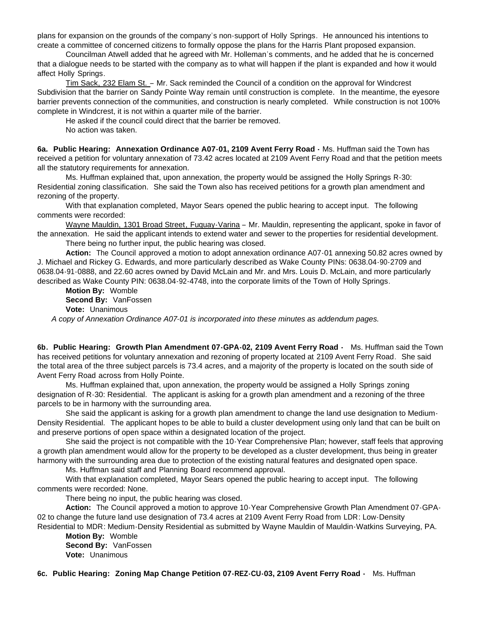plans for expansion on the grounds of the company's non-support of Holly Springs. He announced his intentions to create a committee of concerned citizens to formally oppose the plans for the Harris Plant proposed expansion.

Councilman Atwell added that he agreed with Mr. Holleman's comments, and he added that he is concerned that a dialogue needs to be started with the company as to what will happen if the plant is expanded and how it would affect Holly Springs.

Tim Sack, 232 Elam St. – Mr. Sack reminded the Council of a condition on the approval for Windcrest Subdivision that the barrier on Sandy Pointe Way remain until construction is complete. In the meantime, the eyesore barrier prevents connection of the communities, and construction is nearly completed. While construction is not 100% complete in Windcrest, it is not within a quarter mile of the barrier.

He asked if the council could direct that the barrier be removed.

No action was taken.

**6a. Public Hearing: Annexation Ordinance A07-01, 2109 Avent Ferry Road -** Ms. Huffman said the Town has received a petition for voluntary annexation of 73.42 acres located at 2109 Avent Ferry Road and that the petition meets all the statutory requirements for annexation.

Ms. Huffman explained that, upon annexation, the property would be assigned the Holly Springs R-30: Residential zoning classification. She said the Town also has received petitions for a growth plan amendment and rezoning of the property.

With that explanation completed, Mayor Sears opened the public hearing to accept input. The following comments were recorded:

Wayne Mauldin, 1301 Broad Street, Fuquay-Varina – Mr. Mauldin, representing the applicant, spoke in favor of the annexation. He said the applicant intends to extend water and sewer to the properties for residential development. There being no further input, the public hearing was closed.

 **Action:** The Council approved a motion to adopt annexation ordinance A07-01 annexing 50.82 acres owned by J. Michael and Rickey G. Edwards, and more particularly described as Wake County PINs: 0638.04-90-2709 and 0638.04-91-0888, and 22.60 acres owned by David McLain and Mr. and Mrs. Louis D. McLain, and more particularly described as Wake County PIN: 0638.04-92-4748, into the corporate limits of the Town of Holly Springs.

 **Motion By:** Womble **Second By:** VanFossen **Vote:** Unanimous

 *A copy of Annexation Ordinance A07-01 is incorporated into these minutes as addendum pages.*

**6b. Public Hearing: Growth Plan Amendment 07-GPA-02, 2109 Avent Ferry Road -** Ms. Huffman said the Town has received petitions for voluntary annexation and rezoning of property located at 2109 Avent Ferry Road. She said the total area of the three subject parcels is 73.4 acres, and a majority of the property is located on the south side of Avent Ferry Road across from Holly Pointe.

 Ms. Huffman explained that, upon annexation, the property would be assigned a Holly Springs zoning designation of R-30: Residential. The applicant is asking for a growth plan amendment and a rezoning of the three parcels to be in harmony with the surrounding area.

 She said the applicant is asking for a growth plan amendment to change the land use designation to Medium-Density Residential. The applicant hopes to be able to build a cluster development using only land that can be built on and preserve portions of open space within a designated location of the project.

 She said the project is not compatible with the 10-Year Comprehensive Plan; however, staff feels that approving a growth plan amendment would allow for the property to be developed as a cluster development, thus being in greater harmony with the surrounding area due to protection of the existing natural features and designated open space.

Ms. Huffman said staff and Planning Board recommend approval.

With that explanation completed, Mayor Sears opened the public hearing to accept input. The following comments were recorded: None.

There being no input, the public hearing was closed.

 **Action:** The Council approved a motion to approve 10-Year Comprehensive Growth Plan Amendment 07-GPA-02 to change the future land use designation of 73.4 acres at 2109 Avent Ferry Road from LDR: Low-Density Residential to MDR: Medium-Density Residential as submitted by Wayne Mauldin of Mauldin-Watkins Surveying, PA.

 **Motion By:** Womble **Second By:** VanFossen **Vote:** Unanimous

**6c. Public Hearing: Zoning Map Change Petition 07-REZ-CU-03, 2109 Avent Ferry Road -** Ms. Huffman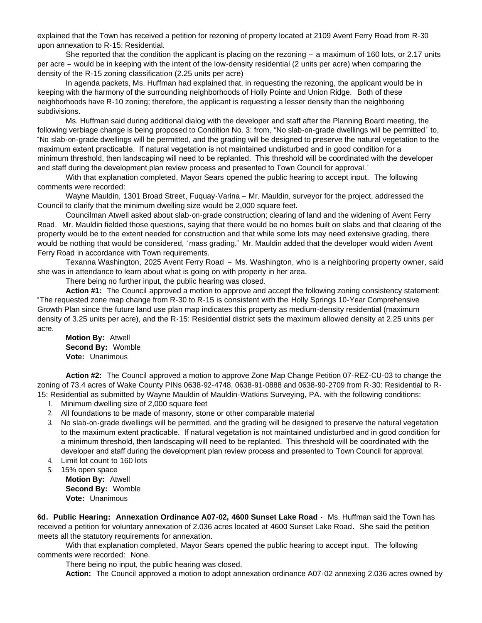explained that the Town has received a petition for rezoning of property located at 2109 Avent Ferry Road from R-30 upon annexation to R-15: Residential.

She reported that the condition the applicant is placing on the rezoning  $-$  a maximum of 160 lots, or 2.17 units per acre – would be in keeping with the intent of the low-density residential (2 units per acre) when comparing the density of the R-15 zoning classification (2.25 units per acre)

 In agenda packets, Ms. Huffman had explained that, in requesting the rezoning, the applicant would be in keeping with the harmony of the surrounding neighborhoods of Holly Pointe and Union Ridge. Both of these neighborhoods have R-10 zoning; therefore, the applicant is requesting a lesser density than the neighboring subdivisions.

 Ms. Huffman said during additional dialog with the developer and staff after the Planning Board meeting, the following verbiage change is being proposed to Condition No. 3: from, "No slab-on-grade dwellings will be permitted" to, "No slab-on-grade dwellings will be permitted, and the grading will be designed to preserve the natural vegetation to the maximum extent practicable. If natural vegetation is not maintained undisturbed and in good condition for a minimum threshold, then landscaping will need to be replanted. This threshold will be coordinated with the developer and staff during the development plan review process and presented to Town Council for approval."

With that explanation completed, Mayor Sears opened the public hearing to accept input. The following comments were recorded:

Wayne Mauldin, 1301 Broad Street, Fuquay-Varina – Mr. Mauldin, surveyor for the project, addressed the Council to clarify that the minimum dwelling size would be 2,000 square feet.

Councilman Atwell asked about slab-on-grade construction; clearing of land and the widening of Avent Ferry Road. Mr. Mauldin fielded those questions, saying that there would be no homes built on slabs and that clearing of the property would be to the extent needed for construction and that while some lots may need extensive grading, there would be nothing that would be considered, "mass grading." Mr. Mauldin added that the developer would widen Avent Ferry Road in accordance with Town requirements.

Texanna Washington, 2025 Avent Ferry Road – Ms. Washington, who is a neighboring property owner, said she was in attendance to learn about what is going on with property in her area.

There being no further input, the public hearing was closed.

**Action #1:** The Council approved a motion to approve and accept the following zoning consistency statement: "The requested zone map change from R-30 to R-15 is consistent with the Holly Springs 10-Year Comprehensive Growth Plan since the future land use plan map indicates this property as medium-density residential (maximum density of 3.25 units per acre), and the R-15: Residential district sets the maximum allowed density at 2.25 units per acre.

 **Motion By:** Atwell **Second By:** Womble **Vote:** Unanimous

 **Action #2:** The Council approved a motion to approve Zone Map Change Petition 07-REZ-CU-03 to change the zoning of 73.4 acres of Wake County PINs 0638-92-4748, 0638-91-0888 and 0638-90-2709 from R-30: Residential to R-15: Residential as submitted by Wayne Mauldin of Mauldin-Watkins Surveying, PA. with the following conditions:

- 1. Minimum dwelling size of 2,000 square feet
- 2. All foundations to be made of masonry, stone or other comparable material
- 3. No slab-on-grade dwellings will be permitted, and the grading will be designed to preserve the natural vegetation to the maximum extent practicable. If natural vegetation is not maintained undisturbed and in good condition for a minimum threshold, then landscaping will need to be replanted. This threshold will be coordinated with the developer and staff during the development plan review process and presented to Town Council for approval.
- 4. Limit lot count to 160 lots
- 5. 15% open space

 **Motion By:** Atwell **Second By:** Womble **Vote:** Unanimous

**6d. Public Hearing: Annexation Ordinance A07-02, 4600 Sunset Lake Road -** Ms. Huffman said the Town has received a petition for voluntary annexation of 2.036 acres located at 4600 Sunset Lake Road. She said the petition meets all the statutory requirements for annexation.

With that explanation completed, Mayor Sears opened the public hearing to accept input. The following comments were recorded: None.

There being no input, the public hearing was closed.

 **Action:** The Council approved a motion to adopt annexation ordinance A07-02 annexing 2.036 acres owned by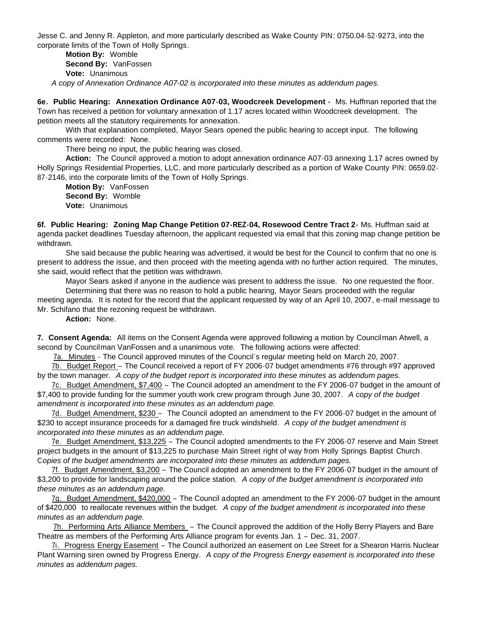Jesse C. and Jenny R. Appleton, and more particularly described as Wake County PIN: 0750.04-52-9273, into the corporate limits of the Town of Holly Springs.

 **Motion By:** Womble **Second By:** VanFossen **Vote:** Unanimous  *A copy of Annexation Ordinance A07-02 is incorporated into these minutes as addendum pages.*

**6e. Public Hearing: Annexation Ordinance A07-03, Woodcreek Development -** Ms. Huffman reported that the Town has received a petition for voluntary annexation of 1.17 acres located within Woodcreek development. The petition meets all the statutory requirements for annexation.

With that explanation completed, Mayor Sears opened the public hearing to accept input. The following comments were recorded: None.

There being no input, the public hearing was closed.

 **Action:** The Council approved a motion to adopt annexation ordinance A07-03 annexing 1.17 acres owned by Holly Springs Residential Properties, LLC, and more particularly described as a portion of Wake County PIN: 0659.02- 87-2146, into the corporate limits of the Town of Holly Springs.

 **Motion By:** VanFossen **Second By:** Womble **Vote:** Unanimous

**6f. Public Hearing: Zoning Map Change Petition 07-REZ-04, Rosewood Centre Tract 2-** Ms. Huffman said at agenda packet deadlines Tuesday afternoon, the applicant requested via email that this zoning map change petition be withdrawn.

 She said because the public hearing was advertised, it would be best for the Council to confirm that no one is present to address the issue, and then proceed with the meeting agenda with no further action required. The minutes, she said, would reflect that the petition was withdrawn.

Mayor Sears asked if anyone in the audience was present to address the issue. No one requested the floor.

 Determining that there was no reason to hold a public hearing, Mayor Sears proceeded with the regular meeting agenda. It is noted for the record that the applicant requested by way of an April 10, 2007, e-mail message to Mr. Schifano that the rezoning request be withdrawn.

**Action:** None.

**7. Consent Agenda:** All items on the Consent Agenda were approved following a motion by Councilman Atwell, a second by Councilman VanFossen and a unanimous vote. The following actions were affected:

7a. Minutes - The Council approved minutes of the Council's regular meeting held on March 20, 2007.

 7b. Budget Report – The Council received a report of FY 2006-07 budget amendments #76 through #97 approved by the town manager. *A copy of the budget report is incorporated into these minutes as addendum pages.*

 7c. Budget Amendment, \$7,400 – The Council adopted an amendment to the FY 2006-07 budget in the amount of \$7,400 to provide funding for the summer youth work crew program through June 30, 2007. *A copy of the budget amendment is incorporated into these minutes as an addendum page.*

7d. Budget Amendment, \$230 – The Council adopted an amendment to the FY 2006-07 budget in the amount of \$230 to accept insurance proceeds for a damaged fire truck windshield. *A copy of the budget amendment is incorporated into these minutes as an addendum page.*

 7e. Budget Amendment, \$13,225 – The Council adopted amendments to the FY 2006-07 reserve and Main Street project budgets in the amount of \$13,225 to purchase Main Street right of way from Holly Springs Baptist Church. C*opies of the budget amendments are incorporated into these minutes as addendum pages.*

 7f. Budget Amendment, \$3,200 – The Council adopted an amendment to the FY 2006-07 budget in the amount of \$3,200 to provide for landscaping around the police station. *A copy of the budget amendment is incorporated into these minutes as an addendum page.*

 7g. Budget Amendment, \$420,000 – The Council adopted an amendment to the FY 2006-07 budget in the amount of \$420,000 to reallocate revenues within the budget. *A copy of the budget amendment is incorporated into these minutes as an addendum page.*

7h. Performing Arts Alliance Members – The Council approved the addition of the Holly Berry Players and Bare Theatre as members of the Performing Arts Alliance program for events Jan. 1 – Dec. 31, 2007.

 7i. Progress Energy Easement – The Council authorized an easement on Lee Street for a Shearon Harris Nuclear Plant Warning siren owned by Progress Energy. *A copy of the Progress Energy easement is incorporated into these minutes as addendum pages.*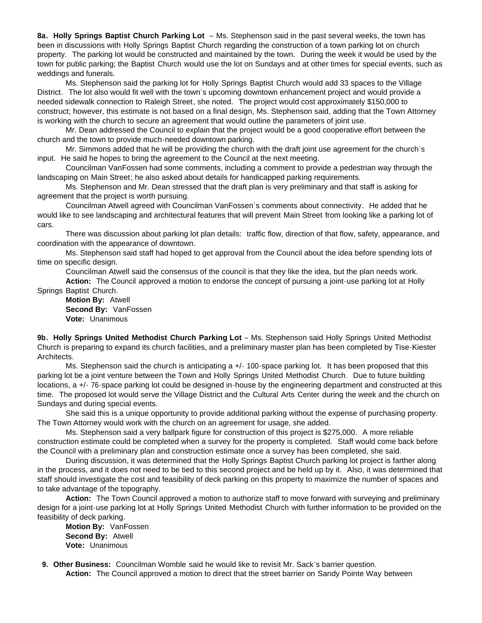**8a. Holly Springs Baptist Church Parking Lot** – Ms. Stephenson said in the past several weeks, the town has been in discussions with Holly Springs Baptist Church regarding the construction of a town parking lot on church property. The parking lot would be constructed and maintained by the town. During the week it would be used by the town for public parking; the Baptist Church would use the lot on Sundays and at other times for special events, such as weddings and funerals.

 Ms. Stephenson said the parking lot for Holly Springs Baptist Church would add 33 spaces to the Village District. The lot also would fit well with the town's upcoming downtown enhancement project and would provide a needed sidewalk connection to Raleigh Street, she noted. The project would cost approximately \$150,000 to construct; however, this estimate is not based on a final design, Ms. Stephenson said, adding that the Town Attorney is working with the church to secure an agreement that would outline the parameters of joint use.

 Mr. Dean addressed the Council to explain that the project would be a good cooperative effort between the church and the town to provide much-needed downtown parking.

 Mr. Simmons added that he will be providing the church with the draft joint use agreement for the church's input. He said he hopes to bring the agreement to the Council at the next meeting.

 Councilman VanFossen had some comments, including a comment to provide a pedestrian way through the landscaping on Main Street; he also asked about details for handicapped parking requirements.

 Ms. Stephenson and Mr. Dean stressed that the draft plan is very preliminary and that staff is asking for agreement that the project is worth pursuing.

 Councilman Atwell agreed with Councilman VanFossen's comments about connectivity. He added that he would like to see landscaping and architectural features that will prevent Main Street from looking like a parking lot of cars.

 There was discussion about parking lot plan details: traffic flow, direction of that flow, safety, appearance, and coordination with the appearance of downtown.

 Ms. Stephenson said staff had hoped to get approval from the Council about the idea before spending lots of time on specific design.

Councilman Atwell said the consensus of the council is that they like the idea, but the plan needs work.

**Action:** The Council approved a motion to endorse the concept of pursuing a joint-use parking lot at Holly Springs Baptist Church.

 **Motion By:** Atwell **Second By:** VanFossen **Vote:** Unanimous

**9b. Holly Springs United Methodist Church Parking Lot** – Ms. Stephenson said Holly Springs United Methodist Church is preparing to expand its church facilities, and a preliminary master plan has been completed by Tise-Kiester Architects.

Ms. Stephenson said the church is anticipating a +/- 100-space parking lot. It has been proposed that this parking lot be a joint venture between the Town and Holly Springs United Methodist Church. Due to future building locations, a +/- 76-space parking lot could be designed in-house by the engineering department and constructed at this time. The proposed lot would serve the Village District and the Cultural Arts Center during the week and the church on Sundays and during special events.

 She said this is a unique opportunity to provide additional parking without the expense of purchasing property. The Town Attorney would work with the church on an agreement for usage, she added.

 Ms. Stephenson said a very ballpark figure for construction of this project is \$275,000. A more reliable construction estimate could be completed when a survey for the property is completed. Staff would come back before the Council with a preliminary plan and construction estimate once a survey has been completed, she said.

 During discussion, it was determined that the Holly Springs Baptist Church parking lot project is farther along in the process, and it does not need to be tied to this second project and be held up by it. Also, it was determined that staff should investigate the cost and feasibility of deck parking on this property to maximize the number of spaces and to take advantage of the topography.

**Action:** The Town Council approved a motion to authorize staff to move forward with surveying and preliminary design for a joint-use parking lot at Holly Springs United Methodist Church with further information to be provided on the feasibility of deck parking.

 **Motion By:** VanFossen **Second By:** Atwell **Vote:** Unanimous

 **9. Other Business:** Councilman Womble said he would like to revisit Mr. Sack's barrier question. **Action:** The Council approved a motion to direct that the street barrier on Sandy Pointe Way between